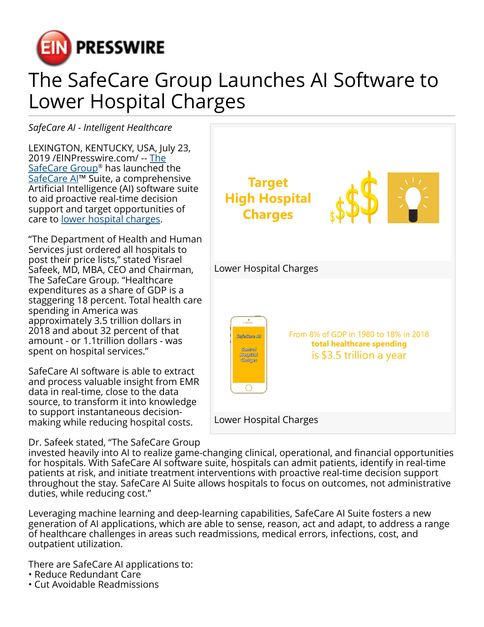

## The SafeCare Group Launches AI Software to Lower Hospital Charges

*SafeCare AI - Intelligent Healthcare*

LEXINGTON, KENTUCKY, USA, July 23, 2019 /[EINPresswire.com](http://www.einpresswire.com)/ -- [The](https://www.safecaregroup.com/) <u>[SafeCare Group](https://www.safecaregroup.com/)</u>® has launched the SafeCare AI<sup>™</sup> Suite, a comprehensive Artificial Intelligence (AI) software suite to aid proactive real-time decision support and target opportunities of care to [lower hospital charges.](https://www.safecareai.com/ai-for-hospital-cost.html)

"The Department of Health and Human Services just ordered all hospitals to post their price lists," stated Yisrael Safeek, MD, MBA, CEO and Chairman, The SafeCare Group. "Healthcare expenditures as a share of GDP is a staggering 18 percent. Total health care spending in America was approximately 3.5 trillion dollars in 2018 and about 32 percent of that amount - or 1.1trillion dollars - was spent on hospital services."

SafeCare AI software is able to extract and process valuable insight from EMR data in real-time, close to the data source, to transform it into knowledge to support instantaneous decisionmaking while reducing hospital costs.

Dr. Safeek stated, "The SafeCare Group

**Target High Hospital Charges** Lower Hospital Charges From 8% of GDP in 1980 to 18% in 2018 SafeCare Al total healthcare spending Control is \$3.5 trillion a year **Hospital**<br>**Charges**  $\overline{O}$ Lower Hospital Charges

invested heavily into AI to realize game-changing clinical, operational, and financial opportunities for hospitals. With SafeCare AI software suite, hospitals can admit patients, identify in real-time patients at risk, and initiate treatment interventions with proactive real-time decision support throughout the stay. SafeCare AI Suite allows hospitals to focus on outcomes, not administrative duties, while reducing cost."

Leveraging machine learning and deep-learning capabilities, SafeCare AI Suite fosters a new generation of AI applications, which are able to sense, reason, act and adapt, to address a range of healthcare challenges in areas such readmissions, medical errors, infections, cost, and outpatient utilization.

There are SafeCare AI applications to:

- Reduce Redundant Care
- Cut Avoidable Readmissions